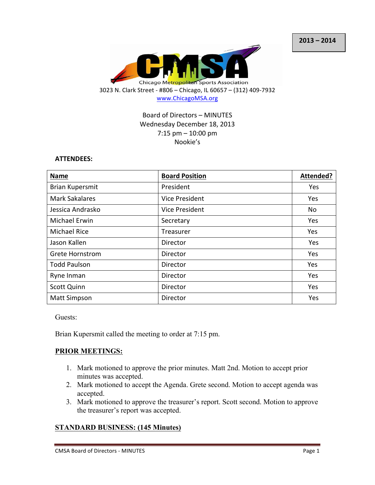

## Board of Directors - MINUTES Wednesday December 18, 2013  $7:15$  pm  $-10:00$  pm Nookie's

#### **ATTENDEES:**

| <b>Name</b>            | <b>Board Position</b> | Attended? |
|------------------------|-----------------------|-----------|
| <b>Brian Kupersmit</b> | President             | Yes       |
| <b>Mark Sakalares</b>  | Vice President        | Yes       |
| Jessica Andrasko       | Vice President        | No        |
| Michael Erwin          | Secretary             | Yes       |
| <b>Michael Rice</b>    | Treasurer             | Yes       |
| Jason Kallen           | Director              | Yes       |
| <b>Grete Hornstrom</b> | Director              | Yes       |
| <b>Todd Paulson</b>    | Director              | Yes       |
| Ryne Inman             | Director              | Yes       |
| <b>Scott Quinn</b>     | Director              | Yes       |
| <b>Matt Simpson</b>    | Director              | Yes       |

Guests:

Brian Kupersmit called the meeting to order at 7:15 pm.

### **PRIOR MEETINGS:**

- 1. Mark motioned to approve the prior minutes. Matt 2nd. Motion to accept prior minutes was accepted.
- 2. Mark motioned to accept the Agenda. Grete second. Motion to accept agenda was accepted.
- 3. Mark motioned to approve the treasurer's report. Scott second. Motion to approve the treasurer's report was accepted.

### **STANDARD BUSINESS: (145 Minutes)**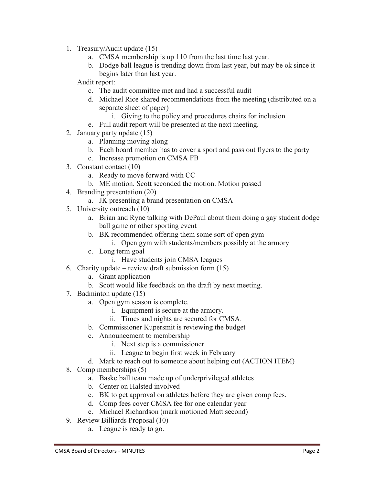- 1. Treasury/Audit update (15)
	- a. CMSA membership is up 110 from the last time last year.
	- b. Dodge ball league is trending down from last year, but may be ok since it begins later than last year.

Audit report:

- c. The audit committee met and had a successful audit
- d. Michael Rice shared recommendations from the meeting (distributed on a separate sheet of paper)
	- i. Giving to the policy and procedures chairs for inclusion
- e. Full audit report will be presented at the next meeting.
- 2. January party update (15)
	- a. Planning moving along
	- b. Each board member has to cover a sport and pass out flyers to the party
	- c. Increase promotion on CMSA FB
- 3. Constant contact (10)
	- a. Ready to move forward with CC
	- b. ME motion. Scott seconded the motion. Motion passed
- 4. Branding presentation (20)
	- a. JK presenting a brand presentation on CMSA
- 5. University outreach (10)
	- a. Brian and Ryne talking with DePaul about them doing a gay student dodge ball game or other sporting event
	- b. BK recommended offering them some sort of open gym
		- i. Open gym with students/members possibly at the armory
	- c. Long term goal
		- i. Have students join CMSA leagues
- 6. Charity update review draft submission form  $(15)$ 
	- a. Grant application
	- b. Scott would like feedback on the draft by next meeting.
- 7. Badminton update (15)
	- a. Open gym season is complete.
		- i. Equipment is secure at the armory.
		- ii. Times and nights are secured for CMSA.
	- b. Commissioner Kupersmit is reviewing the budget
	- c. Announcement to membership
		- i. Next step is a commissioner
		- ii. League to begin first week in February
	- d. Mark to reach out to someone about helping out (ACTION ITEM)
- 8. Comp memberships (5)
	- a. Basketball team made up of underprivileged athletes
	- b. Center on Halsted involved
	- c. BK to get approval on athletes before they are given comp fees.
	- d. Comp fees cover CMSA fee for one calendar year
	- e. Michael Richardson (mark motioned Matt second)
- 9. Review Billiards Proposal (10)
	- a. League is ready to go.